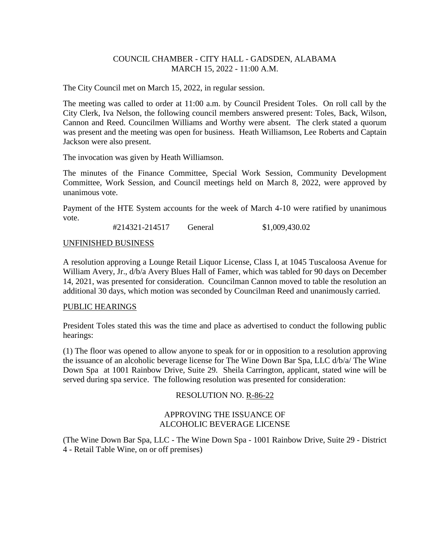## COUNCIL CHAMBER - CITY HALL - GADSDEN, ALABAMA MARCH 15, 2022 - 11:00 A.M.

The City Council met on March 15, 2022, in regular session.

The meeting was called to order at 11:00 a.m. by Council President Toles. On roll call by the City Clerk, Iva Nelson, the following council members answered present: Toles, Back, Wilson, Cannon and Reed. Councilmen Williams and Worthy were absent. The clerk stated a quorum was present and the meeting was open for business. Heath Williamson, Lee Roberts and Captain Jackson were also present.

The invocation was given by Heath Williamson.

The minutes of the Finance Committee, Special Work Session, Community Development Committee, Work Session, and Council meetings held on March 8, 2022, were approved by unanimous vote.

Payment of the HTE System accounts for the week of March 4-10 were ratified by unanimous vote.

#214321-214517 General \$1,009,430.02

### UNFINISHED BUSINESS

A resolution approving a Lounge Retail Liquor License, Class I, at 1045 Tuscaloosa Avenue for William Avery, Jr., d/b/a Avery Blues Hall of Famer, which was tabled for 90 days on December 14, 2021, was presented for consideration. Councilman Cannon moved to table the resolution an additional 30 days, which motion was seconded by Councilman Reed and unanimously carried.

### PUBLIC HEARINGS

President Toles stated this was the time and place as advertised to conduct the following public hearings:

(1) The floor was opened to allow anyone to speak for or in opposition to a resolution approving the issuance of an alcoholic beverage license for The Wine Down Bar Spa, LLC d/b/a/ The Wine Down Spa at 1001 Rainbow Drive, Suite 29. Sheila Carrington, applicant, stated wine will be served during spa service. The following resolution was presented for consideration:

### RESOLUTION NO. R-86-22

### APPROVING THE ISSUANCE OF ALCOHOLIC BEVERAGE LICENSE

(The Wine Down Bar Spa, LLC - The Wine Down Spa - 1001 Rainbow Drive, Suite 29 - District 4 - Retail Table Wine, on or off premises)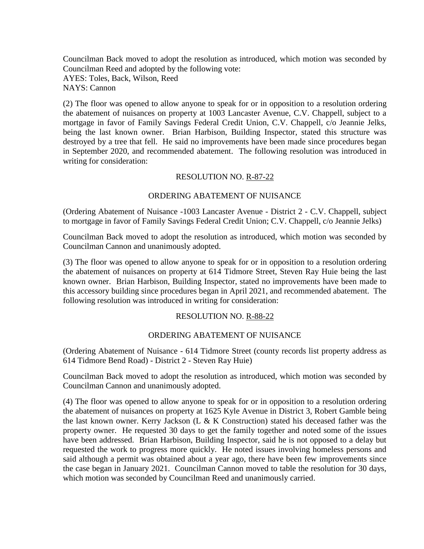Councilman Back moved to adopt the resolution as introduced, which motion was seconded by Councilman Reed and adopted by the following vote: AYES: Toles, Back, Wilson, Reed NAYS: Cannon

(2) The floor was opened to allow anyone to speak for or in opposition to a resolution ordering the abatement of nuisances on property at 1003 Lancaster Avenue, C.V. Chappell, subject to a mortgage in favor of Family Savings Federal Credit Union, C.V. Chappell, c/o Jeannie Jelks, being the last known owner. Brian Harbison, Building Inspector, stated this structure was destroyed by a tree that fell. He said no improvements have been made since procedures began in September 2020, and recommended abatement. The following resolution was introduced in writing for consideration:

### RESOLUTION NO. R-87-22

### ORDERING ABATEMENT OF NUISANCE

(Ordering Abatement of Nuisance -1003 Lancaster Avenue - District 2 - C.V. Chappell, subject to mortgage in favor of Family Savings Federal Credit Union; C.V. Chappell, c/o Jeannie Jelks)

Councilman Back moved to adopt the resolution as introduced, which motion was seconded by Councilman Cannon and unanimously adopted.

(3) The floor was opened to allow anyone to speak for or in opposition to a resolution ordering the abatement of nuisances on property at 614 Tidmore Street, Steven Ray Huie being the last known owner. Brian Harbison, Building Inspector, stated no improvements have been made to this accessory building since procedures began in April 2021, and recommended abatement. The following resolution was introduced in writing for consideration:

#### RESOLUTION NO. R-88-22

#### ORDERING ABATEMENT OF NUISANCE

(Ordering Abatement of Nuisance - 614 Tidmore Street (county records list property address as 614 Tidmore Bend Road) - District 2 - Steven Ray Huie)

Councilman Back moved to adopt the resolution as introduced, which motion was seconded by Councilman Cannon and unanimously adopted.

(4) The floor was opened to allow anyone to speak for or in opposition to a resolution ordering the abatement of nuisances on property at 1625 Kyle Avenue in District 3, Robert Gamble being the last known owner. Kerry Jackson (L & K Construction) stated his deceased father was the property owner. He requested 30 days to get the family together and noted some of the issues have been addressed. Brian Harbison, Building Inspector, said he is not opposed to a delay but requested the work to progress more quickly. He noted issues involving homeless persons and said although a permit was obtained about a year ago, there have been few improvements since the case began in January 2021. Councilman Cannon moved to table the resolution for 30 days, which motion was seconded by Councilman Reed and unanimously carried.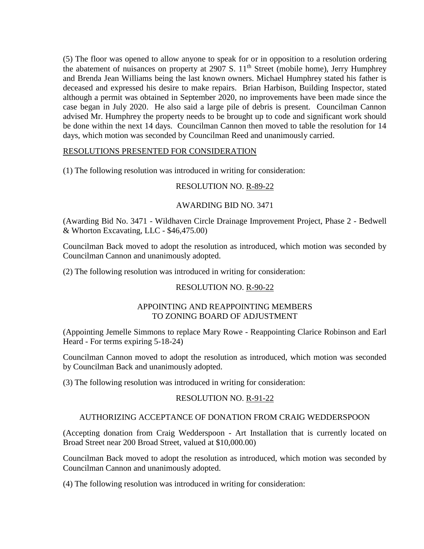(5) The floor was opened to allow anyone to speak for or in opposition to a resolution ordering the abatement of nuisances on property at 2907 S.  $11<sup>th</sup>$  Street (mobile home), Jerry Humphrey and Brenda Jean Williams being the last known owners. Michael Humphrey stated his father is deceased and expressed his desire to make repairs. Brian Harbison, Building Inspector, stated although a permit was obtained in September 2020, no improvements have been made since the case began in July 2020. He also said a large pile of debris is present. Councilman Cannon advised Mr. Humphrey the property needs to be brought up to code and significant work should be done within the next 14 days. Councilman Cannon then moved to table the resolution for 14 days, which motion was seconded by Councilman Reed and unanimously carried.

## RESOLUTIONS PRESENTED FOR CONSIDERATION

(1) The following resolution was introduced in writing for consideration:

## RESOLUTION NO. R-89-22

### AWARDING BID NO. 3471

(Awarding Bid No. 3471 - Wildhaven Circle Drainage Improvement Project, Phase 2 - Bedwell & Whorton Excavating, LLC - \$46,475.00)

Councilman Back moved to adopt the resolution as introduced, which motion was seconded by Councilman Cannon and unanimously adopted.

(2) The following resolution was introduced in writing for consideration:

# RESOLUTION NO. R-90-22

## APPOINTING AND REAPPOINTING MEMBERS TO ZONING BOARD OF ADJUSTMENT

(Appointing Jemelle Simmons to replace Mary Rowe - Reappointing Clarice Robinson and Earl Heard - For terms expiring 5-18-24)

Councilman Cannon moved to adopt the resolution as introduced, which motion was seconded by Councilman Back and unanimously adopted.

(3) The following resolution was introduced in writing for consideration:

# RESOLUTION NO. R-91-22

# AUTHORIZING ACCEPTANCE OF DONATION FROM CRAIG WEDDERSPOON

(Accepting donation from Craig Wedderspoon - Art Installation that is currently located on Broad Street near 200 Broad Street, valued at \$10,000.00)

Councilman Back moved to adopt the resolution as introduced, which motion was seconded by Councilman Cannon and unanimously adopted.

(4) The following resolution was introduced in writing for consideration: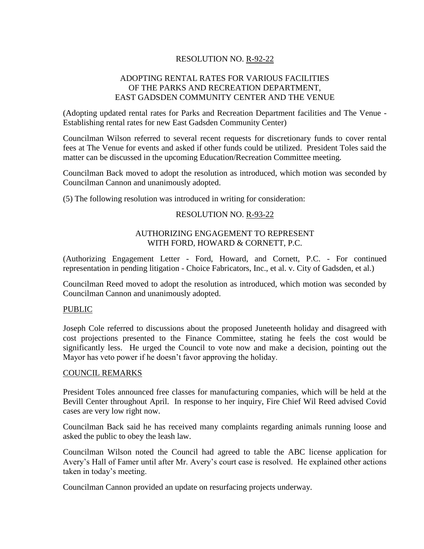# RESOLUTION NO. R-92-22

## ADOPTING RENTAL RATES FOR VARIOUS FACILITIES OF THE PARKS AND RECREATION DEPARTMENT, EAST GADSDEN COMMUNITY CENTER AND THE VENUE

(Adopting updated rental rates for Parks and Recreation Department facilities and The Venue - Establishing rental rates for new East Gadsden Community Center)

Councilman Wilson referred to several recent requests for discretionary funds to cover rental fees at The Venue for events and asked if other funds could be utilized. President Toles said the matter can be discussed in the upcoming Education/Recreation Committee meeting.

Councilman Back moved to adopt the resolution as introduced, which motion was seconded by Councilman Cannon and unanimously adopted.

(5) The following resolution was introduced in writing for consideration:

### RESOLUTION NO. R-93-22

### AUTHORIZING ENGAGEMENT TO REPRESENT WITH FORD, HOWARD & CORNETT, P.C.

(Authorizing Engagement Letter - Ford, Howard, and Cornett, P.C. - For continued representation in pending litigation - Choice Fabricators, Inc., et al. v. City of Gadsden, et al.)

Councilman Reed moved to adopt the resolution as introduced, which motion was seconded by Councilman Cannon and unanimously adopted.

#### PUBLIC

Joseph Cole referred to discussions about the proposed Juneteenth holiday and disagreed with cost projections presented to the Finance Committee, stating he feels the cost would be significantly less. He urged the Council to vote now and make a decision, pointing out the Mayor has veto power if he doesn't favor approving the holiday.

#### COUNCIL REMARKS

President Toles announced free classes for manufacturing companies, which will be held at the Bevill Center throughout April. In response to her inquiry, Fire Chief Wil Reed advised Covid cases are very low right now.

Councilman Back said he has received many complaints regarding animals running loose and asked the public to obey the leash law.

Councilman Wilson noted the Council had agreed to table the ABC license application for Avery's Hall of Famer until after Mr. Avery's court case is resolved. He explained other actions taken in today's meeting.

Councilman Cannon provided an update on resurfacing projects underway.